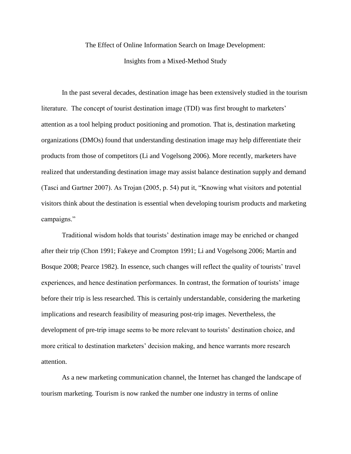# The Effect of Online Information Search on Image Development: Insights from a Mixed-Method Study

In the past several decades, destination image has been extensively studied in the tourism literature. The concept of tourist destination image (TDI) was first brought to marketers' attention as a tool helping product positioning and promotion. That is, destination marketing organizations (DMOs) found that understanding destination image may help differentiate their products from those of competitors (Li and Vogelsong 2006). More recently, marketers have realized that understanding destination image may assist balance destination supply and demand (Tasci and Gartner 2007). As Trojan (2005, p. 54) put it, "Knowing what visitors and potential visitors think about the destination is essential when developing tourism products and marketing campaigns."

Traditional wisdom holds that tourists' destination image may be enriched or changed after their trip (Chon 1991; Fakeye and Crompton 1991; Li and Vogelsong 2006; Martín and Bosque 2008; Pearce 1982). In essence, such changes will reflect the quality of tourists' travel experiences, and hence destination performances. In contrast, the formation of tourists' image before their trip is less researched. This is certainly understandable, considering the marketing implications and research feasibility of measuring post-trip images. Nevertheless, the development of pre-trip image seems to be more relevant to tourists' destination choice, and more critical to destination marketers' decision making, and hence warrants more research attention.

As a new marketing communication channel, the Internet has changed the landscape of tourism marketing. Tourism is now ranked the number one industry in terms of online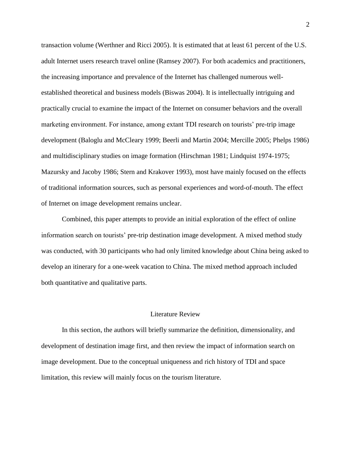transaction volume (Werthner and Ricci 2005). It is estimated that at least 61 percent of the U.S. adult Internet users research travel online (Ramsey 2007). For both academics and practitioners, the increasing importance and prevalence of the Internet has challenged numerous wellestablished theoretical and business models (Biswas 2004). It is intellectually intriguing and practically crucial to examine the impact of the Internet on consumer behaviors and the overall marketing environment. For instance, among extant TDI research on tourists' pre-trip image development (Baloglu and McCleary 1999; Beerli and Martin 2004; Mercille 2005; Phelps 1986) and multidisciplinary studies on image formation (Hirschman 1981; Lindquist 1974-1975; Mazursky and Jacoby 1986; Stern and Krakover 1993), most have mainly focused on the effects of traditional information sources, such as personal experiences and word-of-mouth. The effect of Internet on image development remains unclear.

Combined, this paper attempts to provide an initial exploration of the effect of online information search on tourists' pre-trip destination image development. A mixed method study was conducted, with 30 participants who had only limited knowledge about China being asked to develop an itinerary for a one-week vacation to China. The mixed method approach included both quantitative and qualitative parts.

#### Literature Review

In this section, the authors will briefly summarize the definition, dimensionality, and development of destination image first, and then review the impact of information search on image development. Due to the conceptual uniqueness and rich history of TDI and space limitation, this review will mainly focus on the tourism literature.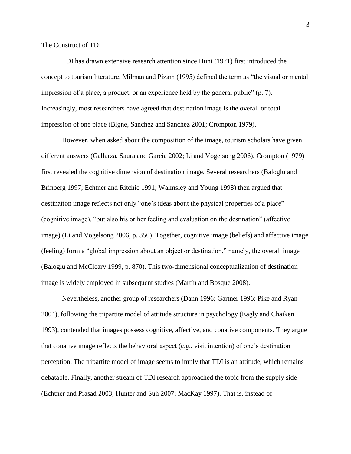The Construct of TDI

TDI has drawn extensive research attention since Hunt (1971) first introduced the concept to tourism literature. Milman and Pizam (1995) defined the term as "the visual or mental impression of a place, a product, or an experience held by the general public"  $(p, 7)$ . Increasingly, most researchers have agreed that destination image is the overall or total impression of one place (Bigne, Sanchez and Sanchez 2001; Crompton 1979).

However, when asked about the composition of the image, tourism scholars have given different answers (Gallarza, Saura and Garcia 2002; Li and Vogelsong 2006). Crompton (1979) first revealed the cognitive dimension of destination image. Several researchers (Baloglu and Brinberg 1997; Echtner and Ritchie 1991; Walmsley and Young 1998) then argued that destination image reflects not only "one's ideas about the physical properties of a place" (cognitive image), "but also his or her feeling and evaluation on the destination" (affective image) (Li and Vogelsong 2006, p. 350). Together, cognitive image (beliefs) and affective image (feeling) form a "global impression about an object or destination," namely, the overall image (Baloglu and McCleary 1999, p. 870). This two-dimensional conceptualization of destination image is widely employed in subsequent studies (Martín and Bosque 2008).

Nevertheless, another group of researchers (Dann 1996; Gartner 1996; Pike and Ryan 2004), following the tripartite model of attitude structure in psychology (Eagly and Chaiken 1993), contended that images possess cognitive, affective, and conative components. They argue that conative image reflects the behavioral aspect (e.g., visit intention) of one's destination perception. The tripartite model of image seems to imply that TDI is an attitude, which remains debatable. Finally, another stream of TDI research approached the topic from the supply side (Echtner and Prasad 2003; Hunter and Suh 2007; MacKay 1997). That is, instead of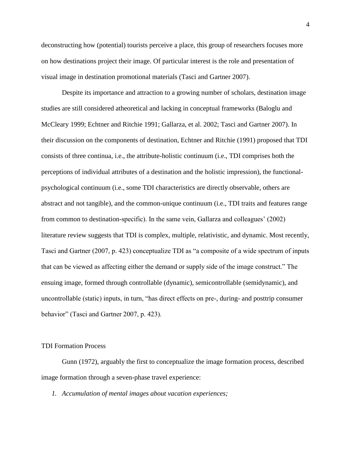deconstructing how (potential) tourists perceive a place, this group of researchers focuses more on how destinations project their image. Of particular interest is the role and presentation of visual image in destination promotional materials (Tasci and Gartner 2007).

Despite its importance and attraction to a growing number of scholars, destination image studies are still considered atheoretical and lacking in conceptual frameworks (Baloglu and McCleary 1999; Echtner and Ritchie 1991; Gallarza, et al. 2002; Tasci and Gartner 2007). In their discussion on the components of destination, Echtner and Ritchie (1991) proposed that TDI consists of three continua, i.e., the attribute-holistic continuum (i.e., TDI comprises both the perceptions of individual attributes of a destination and the holistic impression), the functionalpsychological continuum (i.e., some TDI characteristics are directly observable, others are abstract and not tangible), and the common-unique continuum (i.e., TDI traits and features range from common to destination-specific). In the same vein, Gallarza and colleagues' (2002) literature review suggests that TDI is complex, multiple, relativistic, and dynamic. Most recently, Tasci and Gartner (2007, p. 423) conceptualize TDI as "a composite of a wide spectrum of inputs that can be viewed as affecting either the demand or supply side of the image construct.‖ The ensuing image, formed through controllable (dynamic), semicontrollable (semidynamic), and uncontrollable (static) inputs, in turn, "has direct effects on pre-, during- and posttrip consumer behavior" (Tasci and Gartner 2007, p. 423).

#### TDI Formation Process

Gunn (1972), arguably the first to conceptualize the image formation process, described image formation through a seven-phase travel experience:

*1. Accumulation of mental images about vacation experiences;*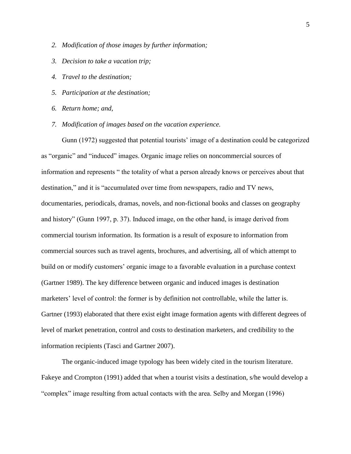- *2. Modification of those images by further information;*
- *3. Decision to take a vacation trip;*
- *4. Travel to the destination;*
- *5. Participation at the destination;*
- *6. Return home; and,*
- *7. Modification of images based on the vacation experience.*

Gunn (1972) suggested that potential tourists' image of a destination could be categorized as "organic" and "induced" images. Organic image relies on noncommercial sources of information and represents " the totality of what a person already knows or perceives about that destination," and it is "accumulated over time from newspapers, radio and TV news, documentaries, periodicals, dramas, novels, and non-fictional books and classes on geography and history" (Gunn 1997, p. 37). Induced image, on the other hand, is image derived from commercial tourism information. Its formation is a result of exposure to information from commercial sources such as travel agents, brochures, and advertising, all of which attempt to build on or modify customers' organic image to a favorable evaluation in a purchase context (Gartner 1989). The key difference between organic and induced images is destination marketers' level of control: the former is by definition not controllable, while the latter is. Gartner (1993) elaborated that there exist eight image formation agents with different degrees of level of market penetration, control and costs to destination marketers, and credibility to the information recipients (Tasci and Gartner 2007).

The organic-induced image typology has been widely cited in the tourism literature. Fakeye and Crompton (1991) added that when a tourist visits a destination, s/he would develop a ―complex‖ image resulting from actual contacts with the area. Selby and Morgan (1996)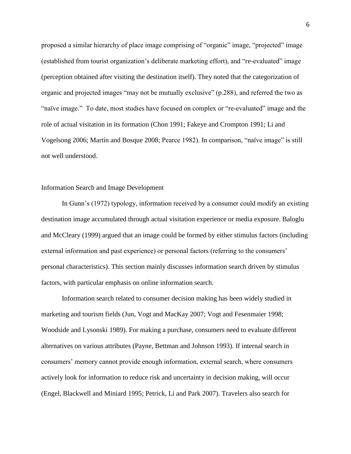proposed a similar hierarchy of place image comprising of "organic" image, "projected" image (established from tourist organization's deliberate marketing effort), and "re-evaluated" image (perception obtained after visiting the destination itself). They noted that the categorization of organic and projected images "may not be mutually exclusive"  $(p.288)$ , and referred the two as "naïve image." To date, most studies have focused on complex or "re-evaluated" image and the role of actual visitation in its formation (Chon 1991; Fakeye and Crompton 1991; Li and Vogelsong 2006; Martín and Bosque 2008; Pearce 1982). In comparison, "naïve image" is still not well understood.

## Information Search and Image Development

In Gunn's (1972) typology, information received by a consumer could modify an existing destination image accumulated through actual visitation experience or media exposure. Baloglu and McCleary (1999) argued that an image could be formed by either stimulus factors (including external information and past experience) or personal factors (referring to the consumers' personal characteristics). This section mainly discusses information search driven by stimulus factors, with particular emphasis on online information search.

Information search related to consumer decision making has been widely studied in marketing and tourism fields (Jun, Vogt and MacKay 2007; Vogt and Fesenmaier 1998; Woodside and Lysonski 1989). For making a purchase, consumers need to evaluate different alternatives on various attributes (Payne, Bettman and Johnson 1993). If internal search in consumers' memory cannot provide enough information, external search, where consumers actively look for information to reduce risk and uncertainty in decision making, will occur (Engel, Blackwell and Miniard 1995; Petrick, Li and Park 2007). Travelers also search for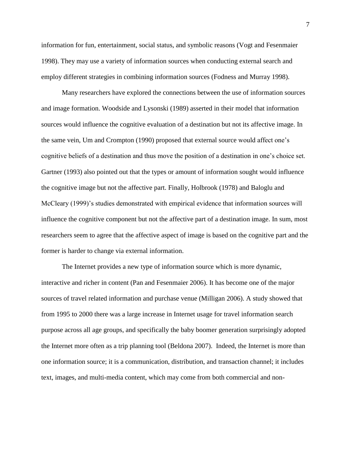information for fun, entertainment, social status, and symbolic reasons (Vogt and Fesenmaier 1998). They may use a variety of information sources when conducting external search and employ different strategies in combining information sources (Fodness and Murray 1998).

Many researchers have explored the connections between the use of information sources and image formation. Woodside and Lysonski (1989) asserted in their model that information sources would influence the cognitive evaluation of a destination but not its affective image. In the same vein, Um and Crompton (1990) proposed that external source would affect one's cognitive beliefs of a destination and thus move the position of a destination in one's choice set. Gartner (1993) also pointed out that the types or amount of information sought would influence the cognitive image but not the affective part. Finally, Holbrook (1978) and Baloglu and McCleary (1999)'s studies demonstrated with empirical evidence that information sources will influence the cognitive component but not the affective part of a destination image. In sum, most researchers seem to agree that the affective aspect of image is based on the cognitive part and the former is harder to change via external information.

The Internet provides a new type of information source which is more dynamic, interactive and richer in content (Pan and Fesenmaier 2006). It has become one of the major sources of travel related information and purchase venue (Milligan 2006). A study showed that from 1995 to 2000 there was a large increase in Internet usage for travel information search purpose across all age groups, and specifically the baby boomer generation surprisingly adopted the Internet more often as a trip planning tool (Beldona 2007). Indeed, the Internet is more than one information source; it is a communication, distribution, and transaction channel; it includes text, images, and multi-media content, which may come from both commercial and non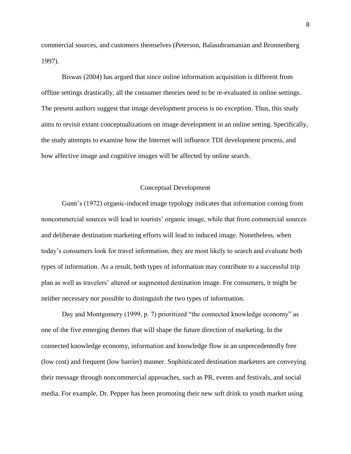commercial sources, and customers themselves (Peterson, Balasubramanian and Bronnenberg 1997).

Biswas (2004) has argued that since online information acquisition is different from offline settings drastically, all the consumer theories need to be re-evaluated in online settings. The present authors suggest that image development process is no exception. Thus, this study aims to revisit extant conceptualizations on image development in an online setting. Specifically, the study attempts to examine how the Internet will influence TDI development process, and how affective image and cognitive images will be affected by online search.

### Conceptual Development

Gunn's (1972) organic-induced image typology indicates that information coming from noncommercial sources will lead to tourists' organic image, while that from commercial sources and deliberate destination marketing efforts will lead to induced image. Nonetheless, when today's consumers look for travel information, they are most likely to search and evaluate both types of information. As a result, both types of information may contribute to a successful trip plan as well as travelers' altered or augmented destination image. For consumers, it might be neither necessary nor possible to distinguish the two types of information.

Day and Montgomery (1999, p. 7) prioritized "the connected knowledge economy" as one of the five emerging themes that will shape the future direction of marketing. In the connected knowledge economy, information and knowledge flow in an unprecedentedly free (low cost) and frequent (low barrier) manner. Sophisticated destination marketers are conveying their message through noncommercial approaches, such as PR, events and festivals, and social media. For example, Dr. Pepper has been promoting their new soft drink to youth market using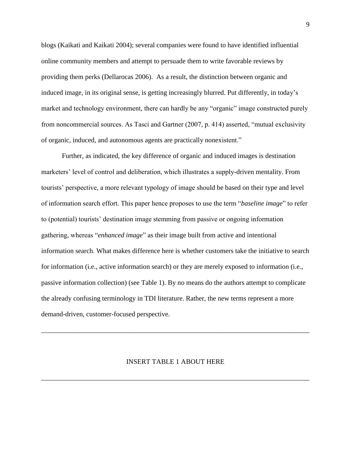blogs (Kaikati and Kaikati 2004); several companies were found to have identified influential online community members and attempt to persuade them to write favorable reviews by providing them perks (Dellarocas 2006). As a result, the distinction between organic and induced image, in its original sense, is getting increasingly blurred. Put differently, in today's market and technology environment, there can hardly be any "organic" image constructed purely from noncommercial sources. As Tasci and Gartner  $(2007, p. 414)$  asserted, "mutual exclusivity of organic, induced, and autonomous agents are practically nonexistent."

Further, as indicated, the key difference of organic and induced images is destination marketers' level of control and deliberation, which illustrates a supply-driven mentality. From tourists' perspective, a more relevant typology of image should be based on their type and level of information search effort. This paper hence proposes to use the term "*baseline image*" to refer to (potential) tourists' destination image stemming from passive or ongoing information gathering, whereas "*enhanced image*" as their image built from active and intentional information search. What makes difference here is whether customers take the initiative to search for information (i.e., active information search) or they are merely exposed to information (i.e., passive information collection) (see Table 1). By no means do the authors attempt to complicate the already confusing terminology in TDI literature. Rather, the new terms represent a more demand-driven, customer-focused perspective.

#### INSERT TABLE 1 ABOUT HERE

\_\_\_\_\_\_\_\_\_\_\_\_\_\_\_\_\_\_\_\_\_\_\_\_\_\_\_\_\_\_\_\_\_\_\_\_\_\_\_\_\_\_\_\_\_\_\_\_\_\_\_\_\_\_\_\_\_\_\_\_\_\_\_\_\_\_\_\_\_\_\_\_\_\_\_\_\_\_

\_\_\_\_\_\_\_\_\_\_\_\_\_\_\_\_\_\_\_\_\_\_\_\_\_\_\_\_\_\_\_\_\_\_\_\_\_\_\_\_\_\_\_\_\_\_\_\_\_\_\_\_\_\_\_\_\_\_\_\_\_\_\_\_\_\_\_\_\_\_\_\_\_\_\_\_\_\_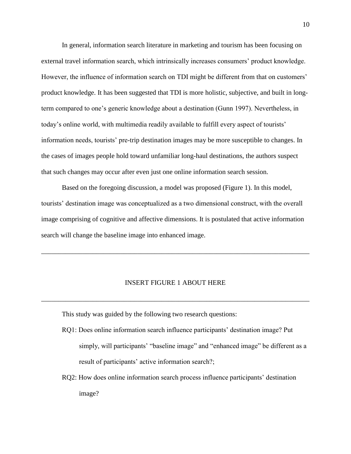In general, information search literature in marketing and tourism has been focusing on external travel information search, which intrinsically increases consumers' product knowledge. However, the influence of information search on TDI might be different from that on customers' product knowledge. It has been suggested that TDI is more holistic, subjective, and built in longterm compared to one's generic knowledge about a destination (Gunn 1997). Nevertheless, in today's online world, with multimedia readily available to fulfill every aspect of tourists' information needs, tourists' pre-trip destination images may be more susceptible to changes. In the cases of images people hold toward unfamiliar long-haul destinations, the authors suspect that such changes may occur after even just one online information search session.

Based on the foregoing discussion, a model was proposed (Figure 1). In this model, tourists' destination image was conceptualized as a two dimensional construct, with the overall image comprising of cognitive and affective dimensions. It is postulated that active information search will change the baseline image into enhanced image.

#### INSERT FIGURE 1 ABOUT HERE

\_\_\_\_\_\_\_\_\_\_\_\_\_\_\_\_\_\_\_\_\_\_\_\_\_\_\_\_\_\_\_\_\_\_\_\_\_\_\_\_\_\_\_\_\_\_\_\_\_\_\_\_\_\_\_\_\_\_\_\_\_\_\_\_\_\_\_\_\_\_\_\_\_\_\_\_\_\_

\_\_\_\_\_\_\_\_\_\_\_\_\_\_\_\_\_\_\_\_\_\_\_\_\_\_\_\_\_\_\_\_\_\_\_\_\_\_\_\_\_\_\_\_\_\_\_\_\_\_\_\_\_\_\_\_\_\_\_\_\_\_\_\_\_\_\_\_\_\_\_\_\_\_\_\_\_\_

This study was guided by the following two research questions:

- RQ1: Does online information search influence participants' destination image? Put simply, will participants' "baseline image" and "enhanced image" be different as a result of participants' active information search?;
- RQ2: How does online information search process influence participants' destination image?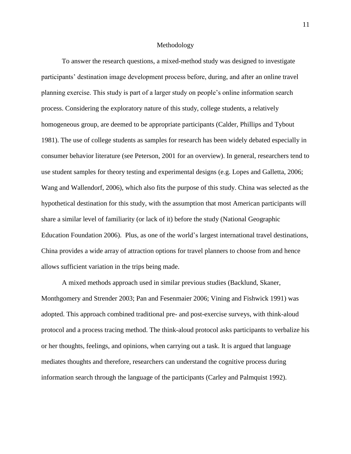#### Methodology

To answer the research questions, a mixed-method study was designed to investigate participants' destination image development process before, during, and after an online travel planning exercise. This study is part of a larger study on people's online information search process. Considering the exploratory nature of this study, college students, a relatively homogeneous group, are deemed to be appropriate participants (Calder, Phillips and Tybout 1981). The use of college students as samples for research has been widely debated especially in consumer behavior literature (see Peterson, 2001 for an overview). In general, researchers tend to use student samples for theory testing and experimental designs (e.g. Lopes and Galletta, 2006; Wang and Wallendorf, 2006), which also fits the purpose of this study. China was selected as the hypothetical destination for this study, with the assumption that most American participants will share a similar level of familiarity (or lack of it) before the study (National Geographic Education Foundation 2006). Plus, as one of the world's largest international travel destinations, China provides a wide array of attraction options for travel planners to choose from and hence allows sufficient variation in the trips being made.

A mixed methods approach used in similar previous studies (Backlund, Skaner, Monthgomery and Strender 2003; Pan and Fesenmaier 2006; Vining and Fishwick 1991) was adopted. This approach combined traditional pre- and post-exercise surveys, with think-aloud protocol and a process tracing method. The think-aloud protocol asks participants to verbalize his or her thoughts, feelings, and opinions, when carrying out a task. It is argued that language mediates thoughts and therefore, researchers can understand the cognitive process during information search through the language of the participants (Carley and Palmquist 1992).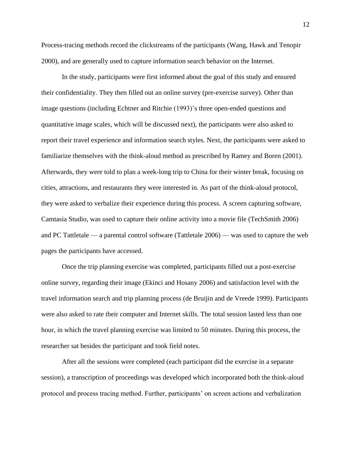Process-tracing methods record the clickstreams of the participants (Wang, Hawk and Tenopir 2000), and are generally used to capture information search behavior on the Internet.

In the study, participants were first informed about the goal of this study and ensured their confidentiality. They then filled out an online survey (pre-exercise survey). Other than image questions (including Echtner and Ritchie (1993)'s three open-ended questions and quantitative image scales, which will be discussed next), the participants were also asked to report their travel experience and information search styles. Next, the participants were asked to familiarize themselves with the think-aloud method as prescribed by Ramey and Boren (2001). Afterwards, they were told to plan a week-long trip to China for their winter break, focusing on cities, attractions, and restaurants they were interested in. As part of the think-aloud protocol, they were asked to verbalize their experience during this process. A screen capturing software, Camtasia Studio, was used to capture their online activity into a movie file (TechSmith 2006) and PC Tattletale — a parental control software (Tattletale 2006) — was used to capture the web pages the participants have accessed.

Once the trip planning exercise was completed, participants filled out a post-exercise online survey, regarding their image (Ekinci and Hosany 2006) and satisfaction level with the travel information search and trip planning process (de Bruijin and de Vreede 1999). Participants were also asked to rate their computer and Internet skills. The total session lasted less than one hour, in which the travel planning exercise was limited to 50 minutes. During this process, the researcher sat besides the participant and took field notes.

After all the sessions were completed (each participant did the exercise in a separate session), a transcription of proceedings was developed which incorporated both the think-aloud protocol and process tracing method. Further, participants' on screen actions and verbalization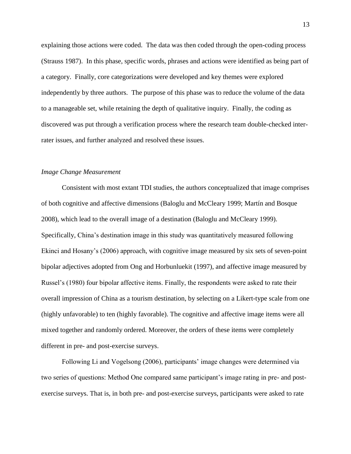explaining those actions were coded. The data was then coded through the open-coding process (Strauss 1987). In this phase, specific words, phrases and actions were identified as being part of a category. Finally, core categorizations were developed and key themes were explored independently by three authors. The purpose of this phase was to reduce the volume of the data to a manageable set, while retaining the depth of qualitative inquiry. Finally, the coding as discovered was put through a verification process where the research team double-checked interrater issues, and further analyzed and resolved these issues.

## *Image Change Measurement*

Consistent with most extant TDI studies, the authors conceptualized that image comprises of both cognitive and affective dimensions (Baloglu and McCleary 1999; Martín and Bosque 2008), which lead to the overall image of a destination (Baloglu and McCleary 1999). Specifically, China's destination image in this study was quantitatively measured following Ekinci and Hosany's (2006) approach, with cognitive image measured by six sets of seven-point bipolar adjectives adopted from Ong and Horbunluekit (1997), and affective image measured by Russel's (1980) four bipolar affective items. Finally, the respondents were asked to rate their overall impression of China as a tourism destination, by selecting on a Likert-type scale from one (highly unfavorable) to ten (highly favorable). The cognitive and affective image items were all mixed together and randomly ordered. Moreover, the orders of these items were completely different in pre- and post-exercise surveys.

Following Li and Vogelsong (2006), participants' image changes were determined via two series of questions: Method One compared same participant's image rating in pre- and postexercise surveys. That is, in both pre- and post-exercise surveys, participants were asked to rate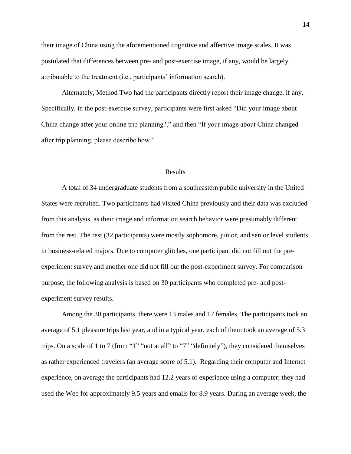their image of China using the aforementioned cognitive and affective image scales. It was postulated that differences between pre- and post-exercise image, if any, would be largely attributable to the treatment (i.e., participants' information search).

Alternately, Method Two had the participants directly report their image change, if any. Specifically, in the post-exercise survey, participants were first asked "Did your image about China change after your online trip planning?," and then "If your image about China changed after trip planning, please describe how."

#### Results

A total of 34 undergraduate students from a southeastern public university in the United States were recruited. Two participants had visited China previously and their data was excluded from this analysis, as their image and information search behavior were presumably different from the rest. The rest (32 participants) were mostly sophomore, junior, and senior level students in business-related majors. Due to computer glitches, one participant did not fill out the preexperiment survey and another one did not fill out the post-experiment survey. For comparison purpose, the following analysis is based on 30 participants who completed pre- and postexperiment survey results.

Among the 30 participants, there were 13 males and 17 females. The participants took an average of 5.1 pleasure trips last year, and in a typical year, each of them took an average of 5.3 trips. On a scale of 1 to 7 (from "1" "not at all" to "7" "definitely"), they considered themselves as rather experienced travelers (an average score of 5.1). Regarding their computer and Internet experience, on average the participants had 12.2 years of experience using a computer; they had used the Web for approximately 9.5 years and emails for 8.9 years. During an average week, the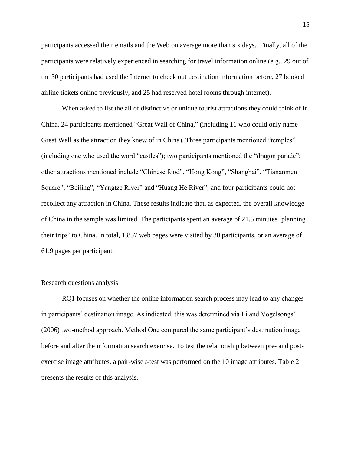participants accessed their emails and the Web on average more than six days. Finally, all of the participants were relatively experienced in searching for travel information online (e.g., 29 out of the 30 participants had used the Internet to check out destination information before, 27 booked airline tickets online previously, and 25 had reserved hotel rooms through internet).

When asked to list the all of distinctive or unique tourist attractions they could think of in China, 24 participants mentioned "Great Wall of China," (including 11 who could only name Great Wall as the attraction they knew of in China). Three participants mentioned "temples" (including one who used the word "castles"); two participants mentioned the "dragon parade"; other attractions mentioned include "Chinese food", "Hong Kong", "Shanghai", "Tiananmen Square", "Beijing", "Yangtze River" and "Huang He River"; and four participants could not recollect any attraction in China. These results indicate that, as expected, the overall knowledge of China in the sample was limited. The participants spent an average of  $21.5$  minutes 'planning their trips' to China. In total, 1,857 web pages were visited by 30 participants, or an average of 61.9 pages per participant.

## Research questions analysis

RQ1 focuses on whether the online information search process may lead to any changes in participants' destination image. As indicated, this was determined via Li and Vogelsongs' (2006) two-method approach. Method One compared the same participant's destination image before and after the information search exercise. To test the relationship between pre- and postexercise image attributes, a pair-wise *t*-test was performed on the 10 image attributes. Table 2 presents the results of this analysis.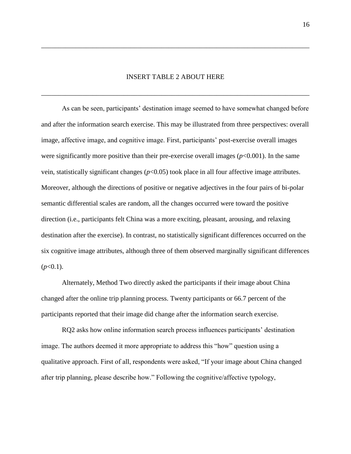## INSERT TABLE 2 ABOUT HERE

\_\_\_\_\_\_\_\_\_\_\_\_\_\_\_\_\_\_\_\_\_\_\_\_\_\_\_\_\_\_\_\_\_\_\_\_\_\_\_\_\_\_\_\_\_\_\_\_\_\_\_\_\_\_\_\_\_\_\_\_\_\_\_\_\_\_\_\_\_\_\_\_\_\_\_\_\_\_

\_\_\_\_\_\_\_\_\_\_\_\_\_\_\_\_\_\_\_\_\_\_\_\_\_\_\_\_\_\_\_\_\_\_\_\_\_\_\_\_\_\_\_\_\_\_\_\_\_\_\_\_\_\_\_\_\_\_\_\_\_\_\_\_\_\_\_\_\_\_\_\_\_\_\_\_\_\_

As can be seen, participants' destination image seemed to have somewhat changed before and after the information search exercise. This may be illustrated from three perspectives: overall image, affective image, and cognitive image. First, participants' post-exercise overall images were significantly more positive than their pre-exercise overall images  $(p<0.001)$ . In the same vein, statistically significant changes (*p*<0.05) took place in all four affective image attributes. Moreover, although the directions of positive or negative adjectives in the four pairs of bi-polar semantic differential scales are random, all the changes occurred were toward the positive direction (i.e., participants felt China was a more exciting, pleasant, arousing, and relaxing destination after the exercise). In contrast, no statistically significant differences occurred on the six cognitive image attributes, although three of them observed marginally significant differences  $(p<0.1)$ .

Alternately, Method Two directly asked the participants if their image about China changed after the online trip planning process. Twenty participants or 66.7 percent of the participants reported that their image did change after the information search exercise.

RQ2 asks how online information search process influences participants' destination image. The authors deemed it more appropriate to address this "how" question using a qualitative approach. First of all, respondents were asked, "If your image about China changed after trip planning, please describe how." Following the cognitive/affective typology,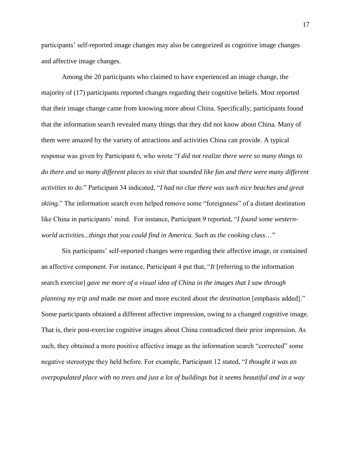participants' self-reported image changes may also be categorized as cognitive image changes and affective image changes.

Among the 20 participants who claimed to have experienced an image change, the majority of (17) participants reported changes regarding their cognitive beliefs. Most reported that their image change came from knowing more about China. Specifically, participants found that the information search revealed many things that they did not know about China. Many of them were amazed by the variety of attractions and activities China can provide. A typical response was given by Participant 6, who wrote "*I did not realize there were so many things to do there and so many different places to visit that sounded like fun and there were many different activities to do.*" Participant 34 indicated, "*I had no clue there was such nice beaches and great skiing.*" The information search even helped remove some "foreignness" of a distant destination like China in participants' mind. For instance, Participant 9 reported, "I *found some western*world activities...things that you could find in America. Such as the cooking class..."

Six participants' self-reported changes were regarding their affective image, or contained an affective component. For instance, Participant 4 put that, "It [referring to the information search exercise] *gave me more of a visual idea of China in the images that I saw through planning my trip and* made me more and more excited about *the destination* [emphasis added]." Some participants obtained a different affective impression, owing to a changed cognitive image. That is, their post-exercise cognitive images about China contradicted their prior impression. As such, they obtained a more positive affective image as the information search "corrected" some negative stereotype they held before. For example, Participant 12 stated, "*I thought it was an overpopulated place with no trees and just a lot of buildings but it seems beautiful and in a way*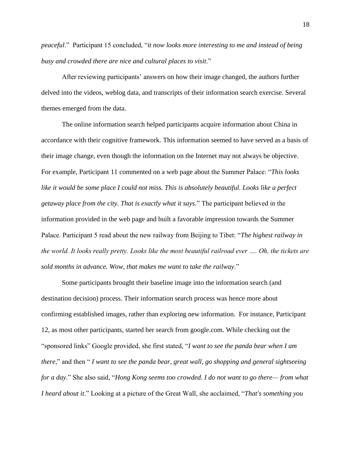*peaceful.*" Participant 15 concluded, "*it now looks more interesting to me and instead of being busy and crowded there are nice and cultural places to visit*.‖

After reviewing participants' answers on how their image changed, the authors further delved into the videos, weblog data, and transcripts of their information search exercise. Several themes emerged from the data.

The online information search helped participants acquire information about China in accordance with their cognitive framework. This information seemed to have served as a basis of their image change, even though the information on the Internet may not always be objective. For example, Participant 11 commented on a web page about the Summer Palace: "*This looks like it would be some place I could not miss. This is absolutely beautiful. Looks like a perfect getaway place from the city. That is exactly what it says.*‖ The participant believed in the information provided in the web page and built a favorable impression towards the Summer Palace. Participant 5 read about the new railway from Beijing to Tibet: "The highest railway in *the world. It looks really pretty. Looks like the most beautiful railroad ever …. Oh, the tickets are*  sold months in advance. Wow, that makes me want to take the railway."

Some participants brought their baseline image into the information search (and destination decision) process. Their information search process was hence more about confirming established images, rather than exploring new information. For instance, Participant 12, as most other participants, started her search from google.com. While checking out the ―sponsored links‖ Google provided, she first stated, ―*I want to see the panda bear when I am there*," and then "*I want to see the panda bear, great wall, go shopping and general sightseeing for a day.*" She also said, "Hong Kong seems too crowded. I do not want to go there—from what *I heard about it.*" Looking at a picture of the Great Wall, she acclaimed, "That's something you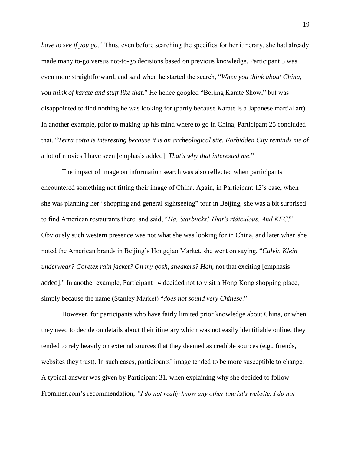*have to see if you go.*" Thus, even before searching the specifics for her itinerary, she had already made many to-go versus not-to-go decisions based on previous knowledge. Participant 3 was even more straightforward, and said when he started the search, "When you think about China, *you think of karate and stuff like that.*" He hence googled "Beijing Karate Show," but was disappointed to find nothing he was looking for (partly because Karate is a Japanese martial art). In another example, prior to making up his mind where to go in China, Participant 25 concluded that, ―*Terra cotta is interesting because it is an archeological site. Forbidden City reminds me of*  a lot of movies I have seen [emphasis added]. *That's why that interested me.*"

The impact of image on information search was also reflected when participants encountered something not fitting their image of China. Again, in Participant 12's case, when she was planning her "shopping and general sightseeing" tour in Beijing, she was a bit surprised to find American restaurants there, and said, "Ha, Starbucks! That's ridiculous. And KFC!" Obviously such western presence was not what she was looking for in China, and later when she noted the American brands in Beijing's Hongqiao Market, she went on saying, "*Calvin Klein*" *underwear? Goretex rain jacket? Oh my gosh, sneakers? Hah, not that exciting [emphasis* added]." In another example, Participant 14 decided not to visit a Hong Kong shopping place, simply because the name (Stanley Market) "*does not sound very Chinese*."

However, for participants who have fairly limited prior knowledge about China, or when they need to decide on details about their itinerary which was not easily identifiable online, they tended to rely heavily on external sources that they deemed as credible sources (e.g., friends, websites they trust). In such cases, participants' image tended to be more susceptible to change. A typical answer was given by Participant 31, when explaining why she decided to follow Frommer.com's recommendation, *"I do not really know any other tourist's website. I do not*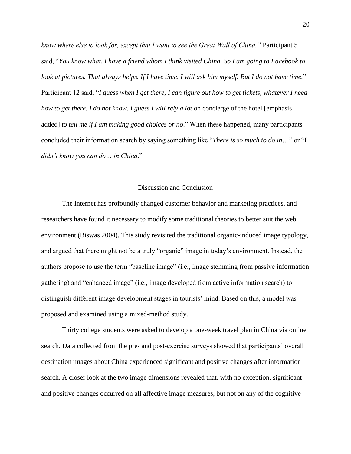*know where else to look for, except that I want to see the Great Wall of China."* Participant 5 said, "You know what, I have a friend whom I think visited China. So I am going to Facebook to look at pictures. That always helps. If I have time, I will ask him myself. But I do not have time." Participant 12 said, "I guess when I get there, I can figure out how to get tickets, whatever I need *how to get there. I do not know. I guess I will rely a lot* on concierge of the hotel [emphasis added] *to tell me if I am making good choices or no.*" When these happened, many participants concluded their information search by saying something like "*There is so much to do in*…." or "I *didn't know you can do… in China*.‖

## Discussion and Conclusion

The Internet has profoundly changed customer behavior and marketing practices, and researchers have found it necessary to modify some traditional theories to better suit the web environment (Biswas 2004). This study revisited the traditional organic-induced image typology, and argued that there might not be a truly "organic" image in today's environment. Instead, the authors propose to use the term "baseline image" (i.e., image stemming from passive information gathering) and "enhanced image" (i.e., image developed from active information search) to distinguish different image development stages in tourists' mind. Based on this, a model was proposed and examined using a mixed-method study.

Thirty college students were asked to develop a one-week travel plan in China via online search. Data collected from the pre- and post-exercise surveys showed that participants' overall destination images about China experienced significant and positive changes after information search. A closer look at the two image dimensions revealed that, with no exception, significant and positive changes occurred on all affective image measures, but not on any of the cognitive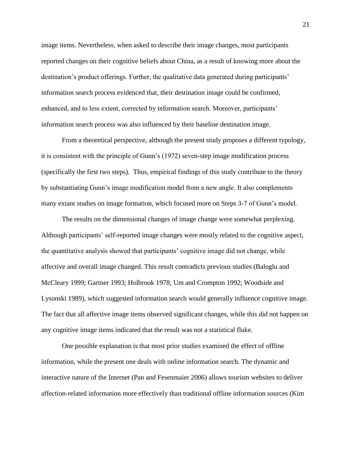image items. Nevertheless, when asked to describe their image changes, most participants reported changes on their cognitive beliefs about China, as a result of knowing more about the destination's product offerings. Further, the qualitative data generated during participants' information search process evidenced that, their destination image could be confirmed, enhanced, and to less extent, corrected by information search. Moreover, participants' information search process was also influenced by their baseline destination image.

From a theoretical perspective, although the present study proposes a different typology, it is consistent with the principle of Gunn's (1972) seven-step image modification process (specifically the first two steps). Thus, empirical findings of this study contribute to the theory by substantiating Gunn's image modification model from a new angle. It also complements many extant studies on image formation, which focused more on Steps 3-7 of Gunn's model.

The results on the dimensional changes of image change were somewhat perplexing. Although participants' self-reported image changes were mostly related to the cognitive aspect, the quantitative analysis showed that participants' cognitive image did not change, while affective and overall image changed. This result contradicts previous studies (Baloglu and McCleary 1999; Gartner 1993; Holbrook 1978; Um and Crompton 1992; Woodside and Lysonski 1989), which suggested information search would generally influence cognitive image. The fact that all affective image items observed significant changes, while this did not happen on any cognitive image items indicated that the result was not a statistical fluke.

One possible explanation is that most prior studies examined the effect of offline information, while the present one deals with online information search. The dynamic and interactive nature of the Internet (Pan and Fesenmaier 2006) allows tourism websites to deliver affection-related information more effectively than traditional offline information sources (Kim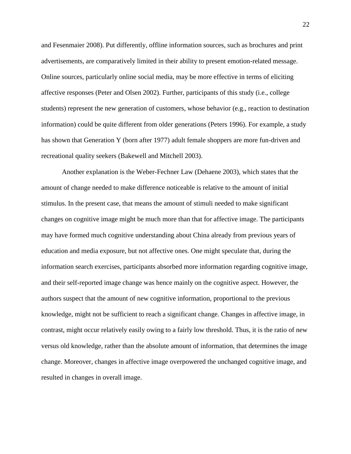and Fesenmaier 2008). Put differently, offline information sources, such as brochures and print advertisements, are comparatively limited in their ability to present emotion-related message. Online sources, particularly online social media, may be more effective in terms of eliciting affective responses (Peter and Olsen 2002). Further, participants of this study (i.e., college students) represent the new generation of customers, whose behavior (e.g., reaction to destination information) could be quite different from older generations (Peters 1996). For example, a study has shown that Generation Y (born after 1977) adult female shoppers are more fun-driven and recreational quality seekers (Bakewell and Mitchell 2003).

Another explanation is the Weber-Fechner Law (Dehaene 2003), which states that the amount of change needed to make difference noticeable is relative to the amount of initial stimulus. In the present case, that means the amount of stimuli needed to make significant changes on cognitive image might be much more than that for affective image. The participants may have formed much cognitive understanding about China already from previous years of education and media exposure, but not affective ones. One might speculate that, during the information search exercises, participants absorbed more information regarding cognitive image, and their self-reported image change was hence mainly on the cognitive aspect. However, the authors suspect that the amount of new cognitive information, proportional to the previous knowledge, might not be sufficient to reach a significant change. Changes in affective image, in contrast, might occur relatively easily owing to a fairly low threshold. Thus, it is the ratio of new versus old knowledge, rather than the absolute amount of information, that determines the image change. Moreover, changes in affective image overpowered the unchanged cognitive image, and resulted in changes in overall image.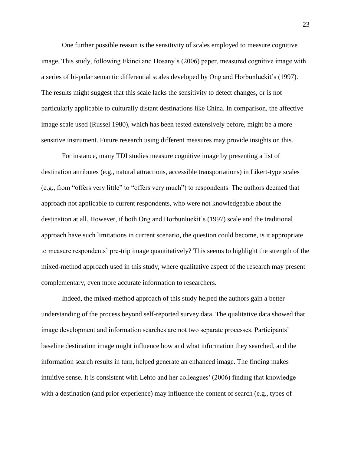One further possible reason is the sensitivity of scales employed to measure cognitive image. This study, following Ekinci and Hosany's (2006) paper, measured cognitive image with a series of bi-polar semantic differential scales developed by Ong and Horbunluekit's (1997). The results might suggest that this scale lacks the sensitivity to detect changes, or is not particularly applicable to culturally distant destinations like China. In comparison, the affective image scale used (Russel 1980), which has been tested extensively before, might be a more sensitive instrument. Future research using different measures may provide insights on this.

For instance, many TDI studies measure cognitive image by presenting a list of destination attributes (e.g., natural attractions, accessible transportations) in Likert-type scales (e.g., from "offers very little" to "offers very much") to respondents. The authors deemed that approach not applicable to current respondents, who were not knowledgeable about the destination at all. However, if both Ong and Horbunluekit's (1997) scale and the traditional approach have such limitations in current scenario, the question could become, is it appropriate to measure respondents' pre-trip image quantitatively? This seems to highlight the strength of the mixed-method approach used in this study, where qualitative aspect of the research may present complementary, even more accurate information to researchers.

Indeed, the mixed-method approach of this study helped the authors gain a better understanding of the process beyond self-reported survey data. The qualitative data showed that image development and information searches are not two separate processes. Participants' baseline destination image might influence how and what information they searched, and the information search results in turn, helped generate an enhanced image. The finding makes intuitive sense. It is consistent with Lehto and her colleagues' (2006) finding that knowledge with a destination (and prior experience) may influence the content of search (e.g., types of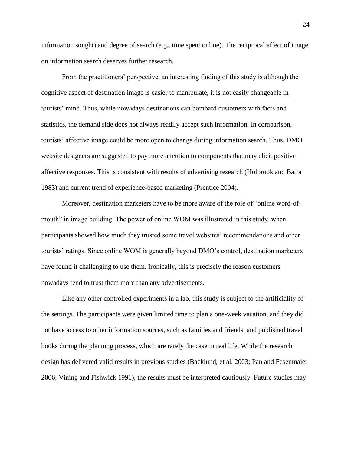information sought) and degree of search (e.g., time spent online). The reciprocal effect of image on information search deserves further research.

From the practitioners' perspective, an interesting finding of this study is although the cognitive aspect of destination image is easier to manipulate, it is not easily changeable in tourists' mind. Thus, while nowadays destinations can bombard customers with facts and statistics, the demand side does not always readily accept such information. In comparison, tourists' affective image could be more open to change during information search. Thus, DMO website designers are suggested to pay more attention to components that may elicit positive affective responses. This is consistent with results of advertising research (Holbrook and Batra 1983) and current trend of experience-based marketing (Prentice 2004).

Moreover, destination marketers have to be more aware of the role of "online word-ofmouth" in image building. The power of online WOM was illustrated in this study, when participants showed how much they trusted some travel websites' recommendations and other tourists' ratings. Since online WOM is generally beyond DMO's control, destination marketers have found it challenging to use them. Ironically, this is precisely the reason customers nowadays tend to trust them more than any advertisements.

Like any other controlled experiments in a lab, this study is subject to the artificiality of the settings. The participants were given limited time to plan a one-week vacation, and they did not have access to other information sources, such as families and friends, and published travel books during the planning process, which are rarely the case in real life. While the research design has delivered valid results in previous studies (Backlund, et al. 2003; Pan and Fesenmaier 2006; Vining and Fishwick 1991), the results must be interpreted cautiously. Future studies may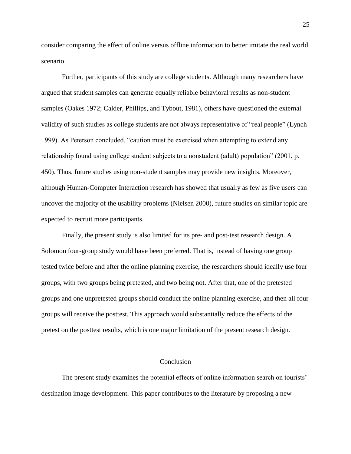consider comparing the effect of online versus offline information to better imitate the real world scenario.

Further, participants of this study are college students. Although many researchers have argued that student samples can generate equally reliable behavioral results as non-student samples (Oakes 1972; Calder, Phillips, and Tybout, 1981), others have questioned the external validity of such studies as college students are not always representative of "real people" (Lynch 1999). As Peterson concluded, "caution must be exercised when attempting to extend any relationship found using college student subjects to a nonstudent (adult) population" (2001, p. 450). Thus, future studies using non-student samples may provide new insights. Moreover, although Human-Computer Interaction research has showed that usually as few as five users can uncover the majority of the usability problems (Nielsen 2000), future studies on similar topic are expected to recruit more participants.

Finally, the present study is also limited for its pre- and post-test research design. A Solomon four-group study would have been preferred. That is, instead of having one group tested twice before and after the online planning exercise, the researchers should ideally use four groups, with two groups being pretested, and two being not. After that, one of the pretested groups and one unpretested groups should conduct the online planning exercise, and then all four groups will receive the posttest. This approach would substantially reduce the effects of the pretest on the posttest results, which is one major limitation of the present research design.

#### Conclusion

The present study examines the potential effects of online information search on tourists' destination image development. This paper contributes to the literature by proposing a new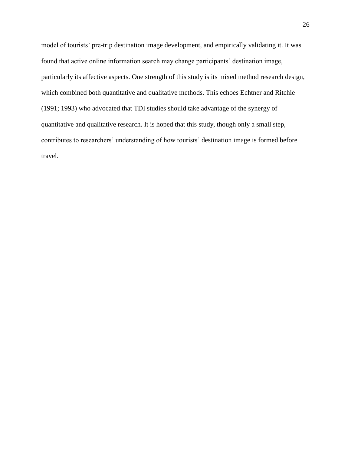model of tourists' pre-trip destination image development, and empirically validating it. It was found that active online information search may change participants' destination image, particularly its affective aspects. One strength of this study is its mixed method research design, which combined both quantitative and qualitative methods. This echoes Echtner and Ritchie (1991; 1993) who advocated that TDI studies should take advantage of the synergy of quantitative and qualitative research. It is hoped that this study, though only a small step, contributes to researchers' understanding of how tourists' destination image is formed before travel.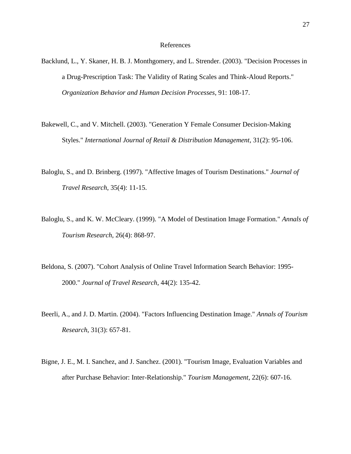#### References

- Backlund, L., Y. Skaner, H. B. J. Monthgomery, and L. Strender. (2003). "Decision Processes in a Drug-Prescription Task: The Validity of Rating Scales and Think-Aloud Reports." *Organization Behavior and Human Decision Processes*, 91: 108-17.
- Bakewell, C., and V. Mitchell. (2003). "Generation Y Female Consumer Decision-Making Styles." *International Journal of Retail & Distribution Management*, 31(2): 95-106.
- Baloglu, S., and D. Brinberg. (1997). "Affective Images of Tourism Destinations." *Journal of Travel Research*, 35(4): 11-15.
- Baloglu, S., and K. W. McCleary. (1999). "A Model of Destination Image Formation." *Annals of Tourism Research*, 26(4): 868-97.
- Beldona, S. (2007). "Cohort Analysis of Online Travel Information Search Behavior: 1995- 2000." *Journal of Travel Research*, 44(2): 135-42.
- Beerli, A., and J. D. Martin. (2004). "Factors Influencing Destination Image." *Annals of Tourism Research*, 31(3): 657-81.
- Bigne, J. E., M. I. Sanchez, and J. Sanchez. (2001). "Tourism Image, Evaluation Variables and after Purchase Behavior: Inter-Relationship." *Tourism Management*, 22(6): 607-16.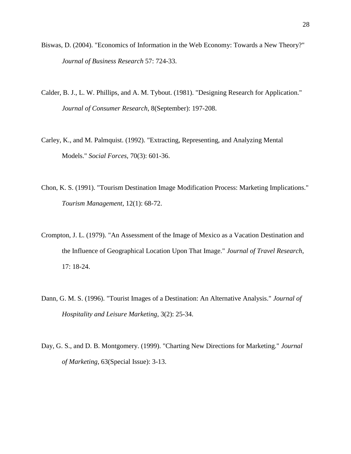- Biswas, D. (2004). "Economics of Information in the Web Economy: Towards a New Theory?" *Journal of Business Research* 57: 724-33.
- Calder, B. J., L. W. Phillips, and A. M. Tybout. (1981). "Designing Research for Application." *Journal of Consumer Research*, 8(September): 197-208.
- Carley, K., and M. Palmquist. (1992). "Extracting, Representing, and Analyzing Mental Models." *Social Forces*, 70(3): 601-36.
- Chon, K. S. (1991). "Tourism Destination Image Modification Process: Marketing Implications." *Tourism Management*, 12(1): 68-72.
- Crompton, J. L. (1979). "An Assessment of the Image of Mexico as a Vacation Destination and the Influence of Geographical Location Upon That Image." *Journal of Travel Research*, 17: 18-24.
- Dann, G. M. S. (1996). "Tourist Images of a Destination: An Alternative Analysis." *Journal of Hospitality and Leisure Marketing*, 3(2): 25-34.
- Day, G. S., and D. B. Montgomery. (1999). "Charting New Directions for Marketing." *Journal of Marketing*, 63(Special Issue): 3-13.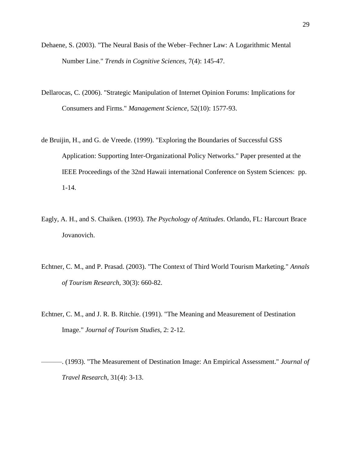- Dehaene, S. (2003). "The Neural Basis of the Weber–Fechner Law: A Logarithmic Mental Number Line." *Trends in Cognitive Sciences*, 7(4): 145-47.
- Dellarocas, C. (2006). "Strategic Manipulation of Internet Opinion Forums: Implications for Consumers and Firms." *Management Science*, 52(10): 1577-93.
- de Bruijin, H., and G. de Vreede. (1999). "Exploring the Boundaries of Successful GSS Application: Supporting Inter-Organizational Policy Networks." Paper presented at the IEEE Proceedings of the 32nd Hawaii international Conference on System Sciences: pp. 1-14.
- Eagly, A. H., and S. Chaiken. (1993). *The Psychology of Attitudes*. Orlando, FL: Harcourt Brace Jovanovich.
- Echtner, C. M., and P. Prasad. (2003). "The Context of Third World Tourism Marketing." *Annals of Tourism Research*, 30(3): 660-82.
- Echtner, C. M., and J. R. B. Ritchie. (1991). "The Meaning and Measurement of Destination Image." *Journal of Tourism Studies*, 2: 2-12.

———. (1993). "The Measurement of Destination Image: An Empirical Assessment." *Journal of Travel Research*, 31(4): 3-13.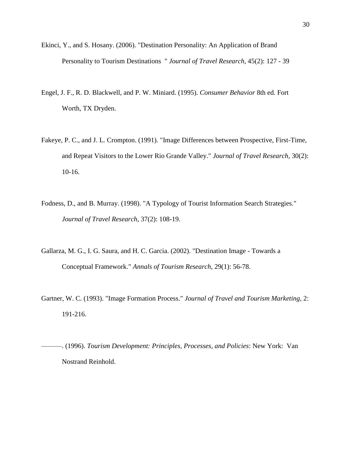- Ekinci, Y., and S. Hosany. (2006). "Destination Personality: An Application of Brand Personality to Tourism Destinations " *Journal of Travel Research*, 45(2): 127 - 39
- Engel, J. F., R. D. Blackwell, and P. W. Miniard. (1995). *Consumer Behavior* 8th ed. Fort Worth, TX Dryden.
- Fakeye, P. C., and J. L. Crompton. (1991). "Image Differences between Prospective, First-Time, and Repeat Visitors to the Lower Rio Grande Valley." *Journal of Travel Research*, 30(2): 10-16.
- Fodness, D., and B. Murray. (1998). "A Typology of Tourist Information Search Strategies." *Journal of Travel Research*, 37(2): 108-19.
- Gallarza, M. G., I. G. Saura, and H. C. Garcia. (2002). "Destination Image Towards a Conceptual Framework." *Annals of Tourism Research*, 29(1): 56-78.
- Gartner, W. C. (1993). "Image Formation Process." *Journal of Travel and Tourism Marketing*, 2: 191-216.
- ———. (1996). *Tourism Development: Principles, Processes, and Policies*: New York: Van Nostrand Reinhold.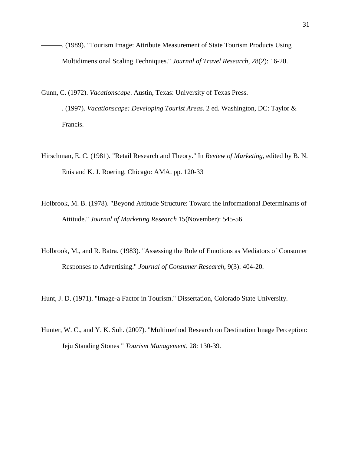- ———. (1989). "Tourism Image: Attribute Measurement of State Tourism Products Using Multidimensional Scaling Techniques." *Journal of Travel Research*, 28(2): 16-20.
- Gunn, C. (1972). *Vacationscape*. Austin, Texas: University of Texas Press.
- ———. (1997). *Vacationscape: Developing Tourist Areas*. 2 ed. Washington, DC: Taylor & Francis.
- Hirschman, E. C. (1981). "Retail Research and Theory." In *Review of Marketing*, edited by B. N. Enis and K. J. Roering, Chicago: AMA. pp. 120-33
- Holbrook, M. B. (1978). "Beyond Attitude Structure: Toward the Informational Determinants of Attitude." *Journal of Marketing Research* 15(November): 545-56.
- Holbrook, M., and R. Batra. (1983). "Assessing the Role of Emotions as Mediators of Consumer Responses to Advertising." *Journal of Consumer Research*, 9(3): 404-20.

Hunt, J. D. (1971). "Image-a Factor in Tourism." Dissertation, Colorado State University.

Hunter, W. C., and Y. K. Suh. (2007). "Multimethod Research on Destination Image Perception: Jeju Standing Stones " *Tourism Management*, 28: 130-39.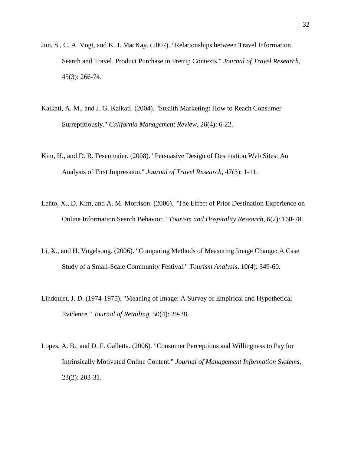- Jun, S., C. A. Vogt, and K. J. MacKay. (2007). "Relationships between Travel Information Search and Travel. Product Purchase in Pretrip Contexts." *Journal of Travel Research*, 45(3): 266-74.
- Kaikati, A. M., and J. G. Kaikati. (2004). "Stealth Marketing: How to Reach Consumer Surreptitiously." *California Management Review*, 26(4): 6-22.
- Kim, H., and D. R. Fesenmaier. (2008). "Persuasive Design of Destination Web Sites: An Analysis of First Impression." *Journal of Travel Research*, 47(3): 1-11.
- Lehto, X., D. Kim, and A. M. Morrison. (2006). "The Effect of Prior Destination Experience on Online Information Search Behavior." *Tourism and Hospitality Research*, 6(2): 160-78.
- Li, X., and H. Vogelsong. (2006). "Comparing Methods of Measuring Image Change: A Case Study of a Small-Scale Community Festival." *Tourism Analysis*, 10(4): 349-60.
- Lindquist, J. D. (1974-1975). "Meaning of Image: A Survey of Empirical and Hypothetical Evidence." *Journal of Retailing*, 50(4): 29-38.
- Lopes, A. B., and D. F. Galletta. (2006). "Consumer Perceptions and Willingness to Pay for Intrinsically Motivated Online Content." *Journal of Management Information Systems*, 23(2): 203-31.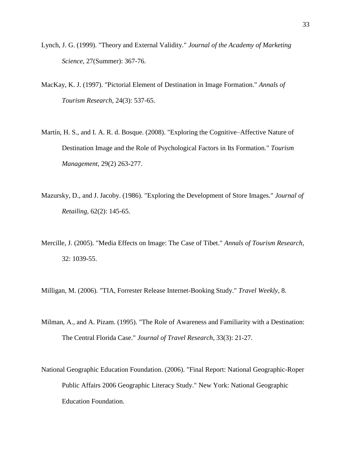- Lynch, J. G. (1999). "Theory and External Validity." *Journal of the Academy of Marketing Science*, 27(Summer): 367-76.
- MacKay, K. J. (1997). "Pictorial Element of Destination in Image Formation." *Annals of Tourism Research*, 24(3): 537-65.
- Martín, H. S., and I. A. R. d. Bosque. (2008). "Exploring the Cognitive–Affective Nature of Destination Image and the Role of Psychological Factors in Its Formation." *Tourism Management,* 29(2) 263-277.
- Mazursky, D., and J. Jacoby. (1986). "Exploring the Development of Store Images." *Journal of Retailing*, 62(2): 145-65.
- Mercille, J. (2005). "Media Effects on Image: The Case of Tibet." *Annals of Tourism Research*, 32: 1039-55.

Milligan, M. (2006). "TIA, Forrester Release Internet-Booking Study." *Travel Weekly*, 8.

- Milman, A., and A. Pizam. (1995). "The Role of Awareness and Familiarity with a Destination: The Central Florida Case." *Journal of Travel Research*, 33(3): 21-27.
- National Geographic Education Foundation. (2006). "Final Report: National Geographic-Roper Public Affairs 2006 Geographic Literacy Study." New York: National Geographic Education Foundation.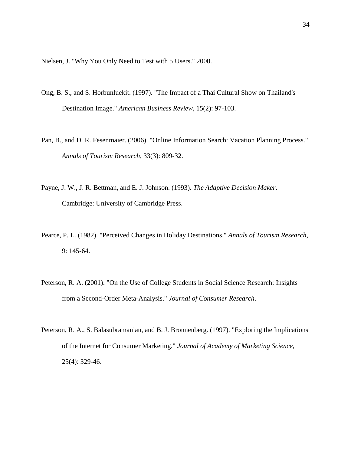Nielsen, J. "Why You Only Need to Test with 5 Users." 2000.

- Ong, B. S., and S. Horbunluekit. (1997). "The Impact of a Thai Cultural Show on Thailand's Destination Image." *American Business Review*, 15(2): 97-103.
- Pan, B., and D. R. Fesenmaier. (2006). "Online Information Search: Vacation Planning Process." *Annals of Tourism Research*, 33(3): 809-32.
- Payne, J. W., J. R. Bettman, and E. J. Johnson. (1993). *The Adaptive Decision Maker*. Cambridge: University of Cambridge Press.
- Pearce, P. L. (1982). "Perceived Changes in Holiday Destinations." *Annals of Tourism Research*, 9: 145-64.
- Peterson, R. A. (2001). "On the Use of College Students in Social Science Research: Insights from a Second-Order Meta-Analysis." *Journal of Consumer Research*.
- Peterson, R. A., S. Balasubramanian, and B. J. Bronnenberg. (1997). "Exploring the Implications of the Internet for Consumer Marketing." *Journal of Academy of Marketing Science*, 25(4): 329-46.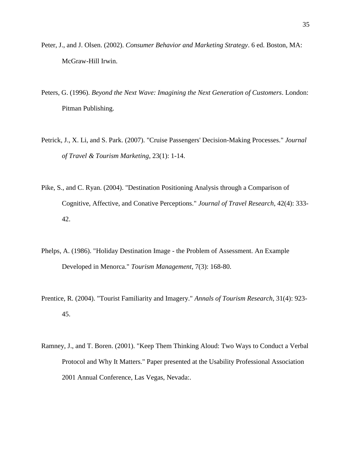- Peter, J., and J. Olsen. (2002). *Consumer Behavior and Marketing Strategy*. 6 ed. Boston, MA: McGraw-Hill Irwin.
- Peters, G. (1996). *Beyond the Next Wave: Imagining the Next Generation of Customers*. London: Pitman Publishing.
- Petrick, J., X. Li, and S. Park. (2007). "Cruise Passengers' Decision-Making Processes." *Journal of Travel & Tourism Marketing*, 23(1): 1-14.
- Pike, S., and C. Ryan. (2004). "Destination Positioning Analysis through a Comparison of Cognitive, Affective, and Conative Perceptions." *Journal of Travel Research*, 42(4): 333- 42.
- Phelps, A. (1986). "Holiday Destination Image the Problem of Assessment. An Example Developed in Menorca." *Tourism Management*, 7(3): 168-80.
- Prentice, R. (2004). "Tourist Familiarity and Imagery." *Annals of Tourism Research*, 31(4): 923- 45.
- Ramney, J., and T. Boren. (2001). "Keep Them Thinking Aloud: Two Ways to Conduct a Verbal Protocol and Why It Matters." Paper presented at the Usability Professional Association 2001 Annual Conference, Las Vegas, Nevada:.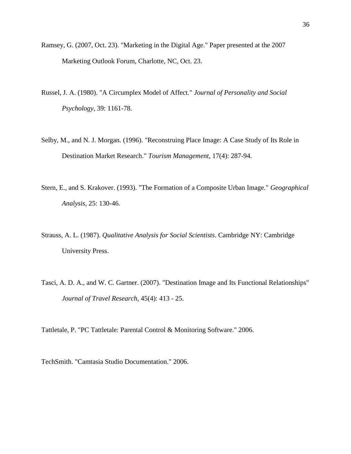- Ramsey, G. (2007, Oct. 23). "Marketing in the Digital Age." Paper presented at the 2007 Marketing Outlook Forum, Charlotte, NC, Oct. 23.
- Russel, J. A. (1980). "A Circumplex Model of Affect." *Journal of Personality and Social Psychology*, 39: 1161-78.
- Selby, M., and N. J. Morgan. (1996). "Reconstruing Place Image: A Case Study of Its Role in Destination Market Research." *Tourism Management*, 17(4): 287-94.
- Stern, E., and S. Krakover. (1993). "The Formation of a Composite Urban Image." *Geographical Analysis*, 25: 130-46.
- Strauss, A. L. (1987). *Qualitative Analysis for Social Scientists*. Cambridge NY: Cambridge University Press.
- Tasci, A. D. A., and W. C. Gartner. (2007). "Destination Image and Its Functional Relationships" *Journal of Travel Research*, 45(4): 413 - 25.

Tattletale, P. "PC Tattletale: Parental Control & Monitoring Software." 2006.

TechSmith. "Camtasia Studio Documentation." 2006.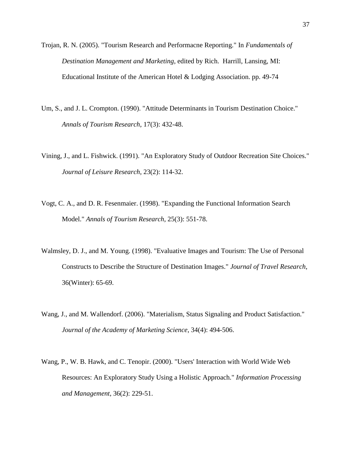Trojan, R. N. (2005). "Tourism Research and Performacne Reporting." In *Fundamentals of Destination Management and Marketing*, edited by Rich. Harrill, Lansing, MI: Educational Institute of the American Hotel & Lodging Association. pp. 49-74

- Um, S., and J. L. Crompton. (1990). "Attitude Determinants in Tourism Destination Choice." *Annals of Tourism Research*, 17(3): 432-48.
- Vining, J., and L. Fishwick. (1991). "An Exploratory Study of Outdoor Recreation Site Choices." *Journal of Leisure Research*, 23(2): 114-32.
- Vogt, C. A., and D. R. Fesenmaier. (1998). "Expanding the Functional Information Search Model." *Annals of Tourism Research*, 25(3): 551-78.
- Walmsley, D. J., and M. Young. (1998). "Evaluative Images and Tourism: The Use of Personal Constructs to Describe the Structure of Destination Images." *Journal of Travel Research*, 36(Winter): 65-69.
- Wang, J., and M. Wallendorf. (2006). "Materialism, Status Signaling and Product Satisfaction." *Journal of the Academy of Marketing Science*, 34(4): 494-506.
- Wang, P., W. B. Hawk, and C. Tenopir. (2000). "Users' Interaction with World Wide Web Resources: An Exploratory Study Using a Holistic Approach." *Information Processing and Management*, 36(2): 229-51.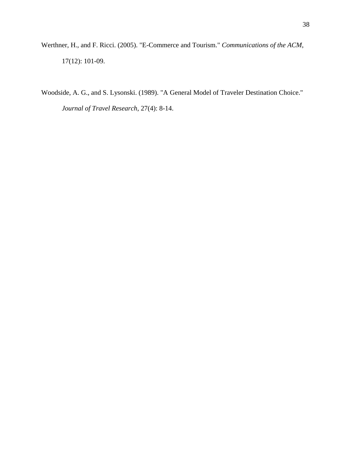Werthner, H., and F. Ricci. (2005). "E-Commerce and Tourism." *Communications of the ACM*, 17(12): 101-09.

Woodside, A. G., and S. Lysonski. (1989). "A General Model of Traveler Destination Choice." *Journal of Travel Research*, 27(4): 8-14.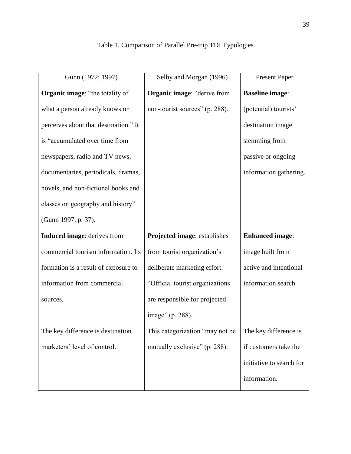| Gunn (1972; 1997)                     | Selby and Morgan (1996)         | <b>Present Paper</b>     |
|---------------------------------------|---------------------------------|--------------------------|
| Organic image: "the totality of       | Organic image: "derive from     | <b>Baseline image:</b>   |
| what a person already knows or        | non-tourist sources" (p. 288).  | (potential) tourists'    |
| perceives about that destination." It |                                 | destination image        |
| is "accumulated over time from        |                                 | stemming from            |
| newspapers, radio and TV news,        |                                 | passive or ongoing       |
| documentaries, periodicals, dramas,   |                                 | information gathering.   |
| novels, and non-fictional books and   |                                 |                          |
| classes on geography and history"     |                                 |                          |
| (Gunn 1997, p. 37).                   |                                 |                          |
| Induced image: derives from           | Projected image: establishes    | <b>Enhanced</b> image:   |
| commercial tourism information. Its   | from tourist organization's     | image built from         |
| formation is a result of exposure to  | deliberate marketing effort.    | active and intentional   |
| information from commercial           | "Official tourist organizations | information search.      |
| sources.                              | are responsible for projected   |                          |
|                                       | image" (p. 288).                |                          |
| The key difference is destination     | This categorization "may not be | The key difference is    |
| marketers' level of control.          | mutually exclusive" (p. 288).   | if customers take the    |
|                                       |                                 | initiative to search for |
|                                       |                                 | information.             |

## Table 1. Comparison of Parallel Pre-trip TDI Typologies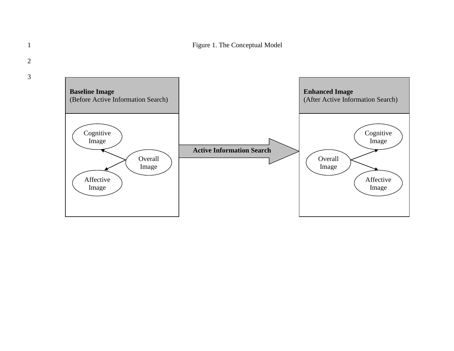

2

3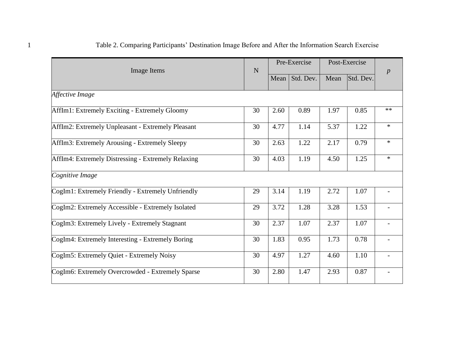| <b>Image Items</b>                                 | N  |      | Pre-Exercise |      | Post-Exercise |                  |
|----------------------------------------------------|----|------|--------------|------|---------------|------------------|
|                                                    |    | Mean | Std. Dev.    | Mean | Std. Dev.     | $\boldsymbol{p}$ |
| Affective Image                                    |    |      |              |      |               |                  |
| AffIm1: Extremely Exciting - Extremely Gloomy      | 30 | 2.60 | 0.89         | 1.97 | 0.85          | $**$             |
| AffIm2: Extremely Unpleasant - Extremely Pleasant  | 30 | 4.77 | 1.14         | 5.37 | 1.22          | $\ast$           |
| AffIm3: Extremely Arousing - Extremely Sleepy      | 30 | 2.63 | 1.22         | 2.17 | 0.79          | $\ast$           |
| AffIm4: Extremely Distressing - Extremely Relaxing | 30 | 4.03 | 1.19         | 4.50 | 1.25          | $\ast$           |
| Cognitive Image                                    |    |      |              |      |               |                  |
| CogIm1: Extremely Friendly - Extremely Unfriendly  | 29 | 3.14 | 1.19         | 2.72 | 1.07          |                  |
| CogIm2: Extremely Accessible - Extremely Isolated  | 29 | 3.72 | 1.28         | 3.28 | 1.53          |                  |
| CogIm3: Extremely Lively - Extremely Stagnant      | 30 | 2.37 | 1.07         | 2.37 | 1.07          |                  |
| CogIm4: Extremely Interesting - Extremely Boring   | 30 | 1.83 | 0.95         | 1.73 | 0.78          |                  |
| CogIm5: Extremely Quiet - Extremely Noisy          | 30 | 4.97 | 1.27         | 4.60 | 1.10          |                  |
| CogIm6: Extremely Overcrowded - Extremely Sparse   | 30 | 2.80 | 1.47         | 2.93 | 0.87          |                  |

## 1 Table 2. Comparing Participants' Destination Image Before and After the Information Search Exercise